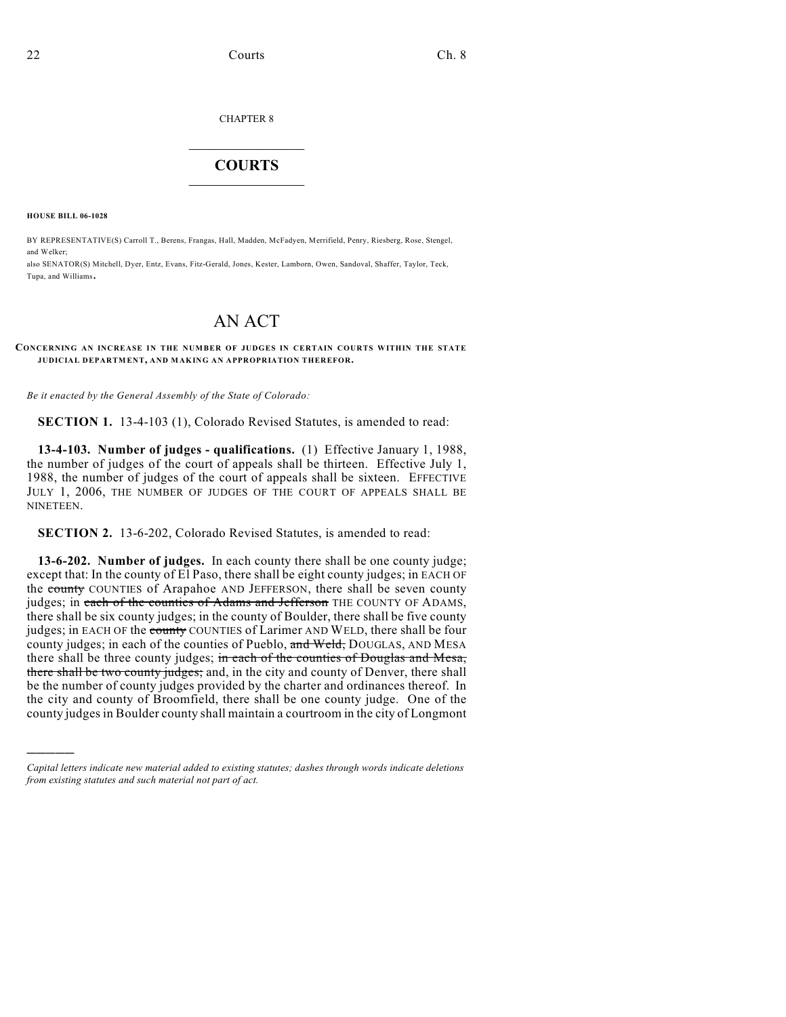#### CHAPTER 8

## $\overline{\phantom{a}}$  . The set of the set of the set of the set of the set of the set of the set of the set of the set of the set of the set of the set of the set of the set of the set of the set of the set of the set of the set o **COURTS**  $\_$

**HOUSE BILL 06-1028**

)))))

BY REPRESENTATIVE(S) Carroll T., Berens, Frangas, Hall, Madden, McFadyen, Merrifield, Penry, Riesberg, Rose, Stengel, and Welker; also SENATOR(S) Mitchell, Dyer, Entz, Evans, Fitz-Gerald, Jones, Kester, Lamborn, Owen, Sandoval, Shaffer, Taylor, Teck,

Tupa, and Williams.

# AN ACT

### **CONCERNING AN INCREASE IN THE NUMBER OF JUDGES IN CERTAIN COURTS WITHIN THE STATE JUDICIAL DEPARTMENT, AND MAKING AN APPROPRIATION THEREFOR.**

*Be it enacted by the General Assembly of the State of Colorado:*

**SECTION 1.** 13-4-103 (1), Colorado Revised Statutes, is amended to read:

**13-4-103. Number of judges - qualifications.** (1) Effective January 1, 1988, the number of judges of the court of appeals shall be thirteen. Effective July 1, 1988, the number of judges of the court of appeals shall be sixteen. EFFECTIVE JULY 1, 2006, THE NUMBER OF JUDGES OF THE COURT OF APPEALS SHALL BE NINETEEN.

**SECTION 2.** 13-6-202, Colorado Revised Statutes, is amended to read:

**13-6-202. Number of judges.** In each county there shall be one county judge; except that: In the county of El Paso, there shall be eight county judges; in EACH OF the county COUNTIES of Arapahoe AND JEFFERSON, there shall be seven county judges; in each of the counties of Adams and Jefferson THE COUNTY OF ADAMS, there shall be six county judges; in the county of Boulder, there shall be five county judges; in EACH OF the county COUNTIES of Larimer AND WELD, there shall be four county judges; in each of the counties of Pueblo, and Weld, DOUGLAS, AND MESA there shall be three county judges; in each of the counties of Douglas and Mesa, there shall be two county judges; and, in the city and county of Denver, there shall be the number of county judges provided by the charter and ordinances thereof. In the city and county of Broomfield, there shall be one county judge. One of the county judges in Boulder county shall maintain a courtroom in the city of Longmont

*Capital letters indicate new material added to existing statutes; dashes through words indicate deletions from existing statutes and such material not part of act.*